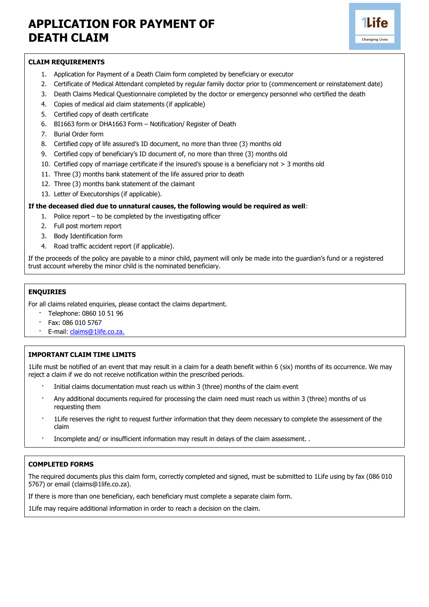# **APPLICATION FOR PAYMENT OF DEATH CLAIM**



#### **CLAIM REQUIREMENTS**

- 1. Application for Payment of a Death Claim form completed by beneficiary or executor
- 2. Certificate of Medical Attendant completed by regular family doctor prior to (commencement or reinstatement date)
- 3. Death Claims Medical Questionnaire completed by the doctor or emergency personnel who certified the death
- 4. Copies of medical aid claim statements (if applicable)
- 5. Certified copy of death certificate
- 6. BI1663 form or DHA1663 Form Notification/ Register of Death
- 7. Burial Order form
- 8. Certified copy of life assured's ID document, no more than three (3) months old
- 9. Certified copy of beneficiary's ID document of, no more than three (3) months old
- 10. Certified copy of marriage certificate if the insured's spouse is a beneficiary not > 3 months old
- 11. Three (3) months bank statement of the life assured prior to death
- 12. Three (3) months bank statement of the claimant
- 13. Letter of Executorships (if applicable).

### **If the deceased died due to unnatural causes, the following would be required as well**:

- 1. Police report to be completed by the investigating officer
- 2. Full post mortem report
- 3. Body Identification form
- 4. Road traffic accident report (if applicable).

If the proceeds of the policy are payable to a minor child, payment will only be made into the guardian's fund or a registered trust account whereby the minor child is the nominated beneficiary.

## **ENQUIRIES**

For all claims related enquiries, please contact the claims department.

- · Telephone: 0860 10 51 96
- · Fax: 086 010 5767
- E-mail: [claims@1life.co.za.](mailto:claims@1life.co.za.)

## **IMPORTANT CLAIM TIME LIMITS**

1Life must be notified of an event that may result in a claim for a death benefit within 6 (six) months of its occurrence. We may reject a claim if we do not receive notification within the prescribed periods.

- Initial claims documentation must reach us within 3 (three) months of the claim event
- · Any additional documents required for processing the claim need must reach us within 3 (three) months of us requesting them
- 1Life reserves the right to request further information that they deem necessary to complete the assessment of the claim
- · Incomplete and/ or insufficient information may result in delays of the claim assessment. .

#### **COMPLETED FORMS**

The required documents plus this claim form, correctly completed and signed, must be submitted to 1Life using by fax (086 010 5767) or email (claims@1life.co.za).

If there is more than one beneficiary, each beneficiary must complete a separate claim form.

1Life may require additional information in order to reach a decision on the claim.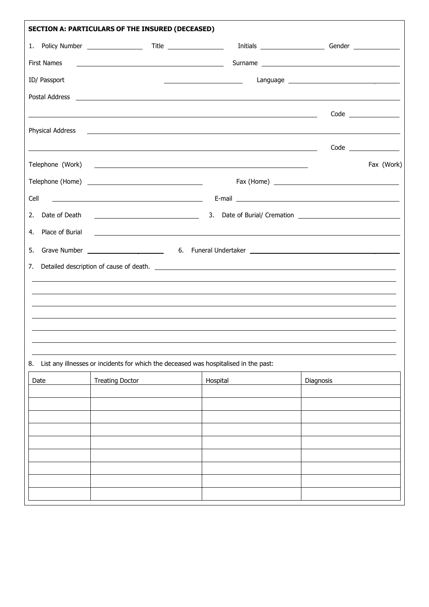| <b>SECTION A: PARTICULARS OF THE INSURED (DECEASED)</b> |                                                                                                                                                                                                                                |                              |                         |  |  |  |
|---------------------------------------------------------|--------------------------------------------------------------------------------------------------------------------------------------------------------------------------------------------------------------------------------|------------------------------|-------------------------|--|--|--|
|                                                         |                                                                                                                                                                                                                                |                              |                         |  |  |  |
| First Names                                             | <u> 2000 - Andrea Andrews, amerikansk politik (d. 1878)</u>                                                                                                                                                                    |                              |                         |  |  |  |
| ID/ Passport                                            |                                                                                                                                                                                                                                | <u> Alexandria (m. 1888)</u> |                         |  |  |  |
|                                                         |                                                                                                                                                                                                                                |                              |                         |  |  |  |
|                                                         | <u> 1989 - Johann Stoff, deutscher Stoffen und der Stoffen und der Stoffen und der Stoffen und der Stoffen und der</u>                                                                                                         |                              | Code __________________ |  |  |  |
|                                                         | Physical Address and the contract of the contract of the contract of the contract of the contract of the contract of the contract of the contract of the contract of the contract of the contract of the contract of the contr |                              |                         |  |  |  |
|                                                         | <u> Alexandro de la contrada de la contrada de la contrada de la contrada de la contrada de la contrada de la co</u>                                                                                                           |                              | Code ________________   |  |  |  |
|                                                         |                                                                                                                                                                                                                                |                              | Fax (Work)              |  |  |  |
|                                                         |                                                                                                                                                                                                                                |                              |                         |  |  |  |
| Cell                                                    |                                                                                                                                                                                                                                |                              |                         |  |  |  |
|                                                         | 2. Date of Death 2002 Contract and Contract and Contract and Contract and Contract and Contract and Contract and Contract and Contract and Contract and Contract and Contract and Contract and Contract and Contract and Contr |                              |                         |  |  |  |
| 4. Place of Burial                                      | <u> 1989 - Johann Harry Harry Harry Harry Harry Harry Harry Harry Harry Harry Harry Harry Harry Harry Harry Harry</u>                                                                                                          |                              |                         |  |  |  |
| 5.                                                      |                                                                                                                                                                                                                                |                              |                         |  |  |  |
| 7.                                                      |                                                                                                                                                                                                                                |                              |                         |  |  |  |
|                                                         | ,我们也不能会在这里,我们也不能会在这里,我们也不能会在这里,我们也不能会在这里,我们也不能会在这里,我们也不能会在这里,我们也不能会不能会不能会。""我们,我                                                                                                                                               |                              |                         |  |  |  |
|                                                         |                                                                                                                                                                                                                                |                              |                         |  |  |  |
|                                                         |                                                                                                                                                                                                                                |                              |                         |  |  |  |
|                                                         |                                                                                                                                                                                                                                |                              |                         |  |  |  |
|                                                         |                                                                                                                                                                                                                                |                              |                         |  |  |  |
| 8.                                                      | List any illnesses or incidents for which the deceased was hospitalised in the past:                                                                                                                                           |                              |                         |  |  |  |
| Date                                                    | <b>Treating Doctor</b>                                                                                                                                                                                                         | Hospital                     | Diagnosis               |  |  |  |
|                                                         |                                                                                                                                                                                                                                |                              |                         |  |  |  |
|                                                         |                                                                                                                                                                                                                                |                              |                         |  |  |  |
|                                                         |                                                                                                                                                                                                                                |                              |                         |  |  |  |
|                                                         |                                                                                                                                                                                                                                |                              |                         |  |  |  |
|                                                         |                                                                                                                                                                                                                                |                              |                         |  |  |  |
|                                                         |                                                                                                                                                                                                                                |                              |                         |  |  |  |
|                                                         |                                                                                                                                                                                                                                |                              |                         |  |  |  |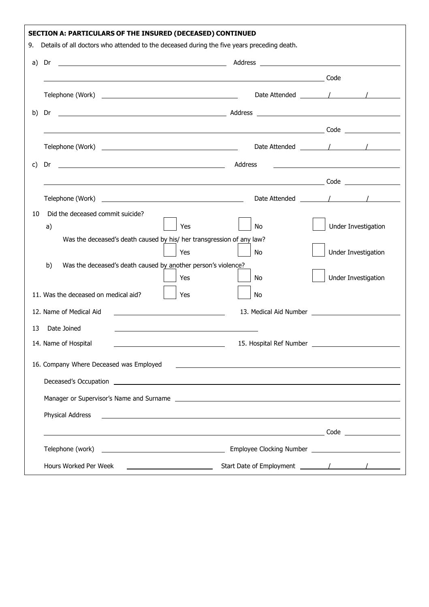|    | SECTION A: PARTICULARS OF THE INSURED (DECEASED) CONTINUED                                                                                                                                                                           |                                                                                                                      |                     |
|----|--------------------------------------------------------------------------------------------------------------------------------------------------------------------------------------------------------------------------------------|----------------------------------------------------------------------------------------------------------------------|---------------------|
| 9. | Details of all doctors who attended to the deceased during the five years preceding death.                                                                                                                                           |                                                                                                                      |                     |
| a) | Dr                                                                                                                                                                                                                                   |                                                                                                                      |                     |
|    |                                                                                                                                                                                                                                      |                                                                                                                      |                     |
|    |                                                                                                                                                                                                                                      |                                                                                                                      |                     |
| b) | Dr                                                                                                                                                                                                                                   |                                                                                                                      |                     |
|    | <u>in the contract of the contract of the contract of the contract of the contract of the contract of the contract of the contract of the contract of the contract of the contract of the contract of the contract of the contra</u> |                                                                                                                      |                     |
|    |                                                                                                                                                                                                                                      |                                                                                                                      |                     |
| C) | and a series of the series of the series of the series of the series of the series of the series of the series<br>Dr                                                                                                                 |                                                                                                                      |                     |
|    |                                                                                                                                                                                                                                      |                                                                                                                      |                     |
|    |                                                                                                                                                                                                                                      |                                                                                                                      |                     |
| 10 | Did the deceased commit suicide?                                                                                                                                                                                                     |                                                                                                                      |                     |
|    | Yes<br>a)                                                                                                                                                                                                                            | No                                                                                                                   | Under Investigation |
|    | Was the deceased's death caused by his/ her transgression of any law?                                                                                                                                                                |                                                                                                                      |                     |
|    | Yes                                                                                                                                                                                                                                  | <b>No</b>                                                                                                            | Under Investigation |
|    | Was the deceased's death caused by another person's violence?<br>b)<br>Yes                                                                                                                                                           | No                                                                                                                   | Under Investigation |
|    | 11. Was the deceased on medical aid?<br>Yes                                                                                                                                                                                          | <b>No</b>                                                                                                            |                     |
|    | 12. Name of Medical Aid                                                                                                                                                                                                              |                                                                                                                      |                     |
| 13 | Date Joined                                                                                                                                                                                                                          |                                                                                                                      |                     |
|    | 14. Name of Hospital                                                                                                                                                                                                                 | 15. Hospital Ref Number _                                                                                            |                     |
|    | 16. Company Where Deceased was Employed                                                                                                                                                                                              | <u> Alexandria de la contrada de la contrada de la contrada de la contrada de la contrada de la contrada de la c</u> |                     |
|    |                                                                                                                                                                                                                                      |                                                                                                                      |                     |
|    |                                                                                                                                                                                                                                      |                                                                                                                      |                     |
|    | Physical Address<br><u> 1999 - Johann Harry Harry Harry Harry Harry Harry Harry Harry Harry Harry Harry Harry Harry Harry Harry Harry H</u>                                                                                          |                                                                                                                      |                     |
|    | <u>Code</u> and the contract of the code of the code of the code of the code of the code of the code of the code of the code of the code of the code of the code of the code of the code of the code of the code of the code of the  |                                                                                                                      |                     |
|    |                                                                                                                                                                                                                                      |                                                                                                                      |                     |
|    | Hours Worked Per Week                                                                                                                                                                                                                |                                                                                                                      |                     |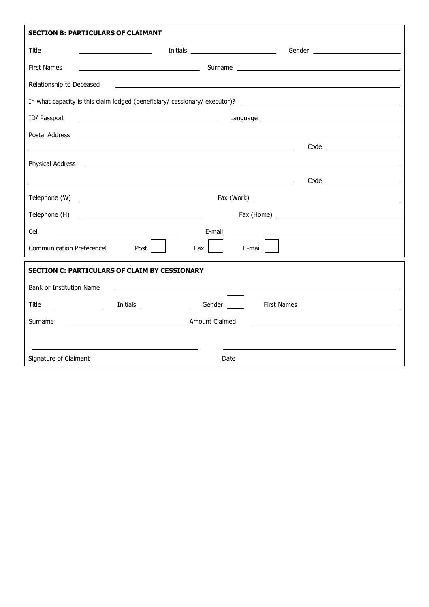| <b>SECTION B: PARTICULARS OF CLAIMANT</b> |                                                                                                                                                                                                                                      |                   |                                                                                                               |  |  |  |
|-------------------------------------------|--------------------------------------------------------------------------------------------------------------------------------------------------------------------------------------------------------------------------------------|-------------------|---------------------------------------------------------------------------------------------------------------|--|--|--|
| Title                                     |                                                                                                                                                                                                                                      |                   |                                                                                                               |  |  |  |
| <b>First Names</b>                        | <u>2008 - Andrea American American Surname (Cambridge Surname (Cambridge Surname (Cambridge Surname Surname Surname Surname Surname Surname Surname Surname Surname Surname Surname Surname Surname Surname Surname Surname Surn</u> |                   |                                                                                                               |  |  |  |
| Relationship to Deceased                  | <u>and the contract of the contract of the contract of the contract of the contract of the contract of the contract of</u>                                                                                                           |                   |                                                                                                               |  |  |  |
|                                           |                                                                                                                                                                                                                                      |                   |                                                                                                               |  |  |  |
| ID/ Passport                              | <u>and the contract of the contract of the contract of the contract of the contract of the contract of the contract of the contract of the contract of the contract of the contract of the contract of the contract of the contr</u> |                   |                                                                                                               |  |  |  |
| Postal Address                            | <u> 1999 - Johann Harry Harry Harry Harry Harry Harry Harry Harry Harry Harry Harry Harry Harry Harry Harry Harry</u>                                                                                                                |                   |                                                                                                               |  |  |  |
|                                           |                                                                                                                                                                                                                                      |                   |                                                                                                               |  |  |  |
| Physical Address                          | <u> 1990 - Johann Stoff, amerikansk politiker (d. 1980)</u>                                                                                                                                                                          |                   |                                                                                                               |  |  |  |
|                                           |                                                                                                                                                                                                                                      |                   |                                                                                                               |  |  |  |
|                                           |                                                                                                                                                                                                                                      |                   |                                                                                                               |  |  |  |
|                                           |                                                                                                                                                                                                                                      |                   |                                                                                                               |  |  |  |
| Cell                                      | <u> 1989 - Johann Barn, mars eta bainar eta baina eta baina eta baina eta baina eta baina eta baina eta baina e</u>                                                                                                                  |                   | E-mail 2008 2009 2010 2021 2022 2023 2024 2022 2022 2023 2024 2022 2023 2024 2022 2023 2024 2022 2023 2024 20 |  |  |  |
| <b>Communication Preferencel</b>          | Fax  <br>Post                                                                                                                                                                                                                        | $E$ -mail $\vert$ |                                                                                                               |  |  |  |
|                                           | <b>SECTION C: PARTICULARS OF CLAIM BY CESSIONARY</b>                                                                                                                                                                                 |                   |                                                                                                               |  |  |  |
| Bank or Institution Name                  |                                                                                                                                                                                                                                      |                   |                                                                                                               |  |  |  |
| Title                                     | Initials ___________________  Gender                                                                                                                                                                                                 |                   |                                                                                                               |  |  |  |
| Surname                                   | Amount Claimed                                                                                                                                                                                                                       |                   |                                                                                                               |  |  |  |
|                                           |                                                                                                                                                                                                                                      |                   |                                                                                                               |  |  |  |
| Signature of Claimant                     |                                                                                                                                                                                                                                      | Date              |                                                                                                               |  |  |  |